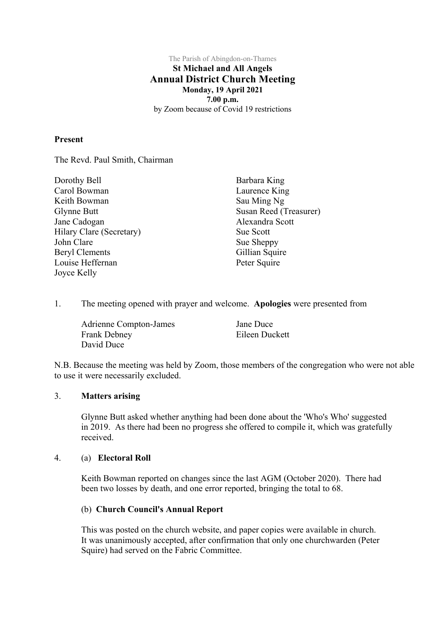### The Parish of Abingdon-on-Thames **St Michael and All Angels Annual District Church Meeting Monday, 19 April 2021 7.00 p.m.** by Zoom because of Covid 19 restrictions

## **Present**

The Revd. Paul Smith, Chairman

| Dorothy Bell             | Barbara King           |
|--------------------------|------------------------|
| Carol Bowman             | Laurence King          |
| Keith Bowman             | Sau Ming Ng            |
| Glynne Butt              | Susan Reed (Treasurer) |
| Jane Cadogan             | Alexandra Scott        |
| Hilary Clare (Secretary) | Sue Scott              |
| John Clare               | Sue Sheppy             |
| <b>Beryl Clements</b>    | Gillian Squire         |
| Louise Heffernan         | Peter Squire           |
| Joyce Kelly              |                        |

1. The meeting opened with prayer and welcome. **Apologies** were presented from

| <b>Adrienne Compton-James</b> | Jane Duce      |
|-------------------------------|----------------|
| Frank Debney                  | Eileen Duckett |
| David Duce                    |                |

N.B. Because the meeting was held by Zoom, those members of the congregation who were not able to use it were necessarily excluded.

## 3. **Matters arising**

Glynne Butt asked whether anything had been done about the 'Who's Who' suggested in 2019. As there had been no progress she offered to compile it, which was gratefully received.

### 4. (a) **Electoral Roll**

Keith Bowman reported on changes since the last AGM (October 2020). There had been two losses by death, and one error reported, bringing the total to 68.

# (b) **Church Council's Annual Report**

This was posted on the church website, and paper copies were available in church. It was unanimously accepted, after confirmation that only one churchwarden (Peter Squire) had served on the Fabric Committee.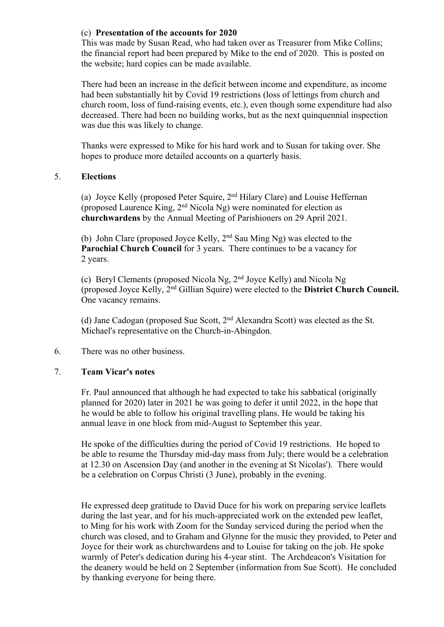# (c) **Presentation of the accounts for 2020**

This was made by Susan Read, who had taken over as Treasurer from Mike Collins; the financial report had been prepared by Mike to the end of 2020. This is posted on the website; hard copies can be made available.

There had been an increase in the deficit between income and expenditure, as income had been substantially hit by Covid 19 restrictions (loss of lettings from church and church room, loss of fund-raising events, etc.), even though some expenditure had also decreased. There had been no building works, but as the next quinquennial inspection was due this was likely to change.

Thanks were expressed to Mike for his hard work and to Susan for taking over. She hopes to produce more detailed accounts on a quarterly basis.

## 5. **Elections**

(a) Joyce Kelly (proposed Peter Squire, 2nd Hilary Clare) and Louise Heffernan (proposed Laurence King, 2nd Nicola Ng) were nominated for election as **churchwardens** by the Annual Meeting of Parishioners on 29 April 2021.

(b) John Clare (proposed Joyce Kelly, 2nd Sau Ming Ng) was elected to the **Parochial Church Council** for 3 years. There continues to be a vacancy for 2 years.

(c) Beryl Clements (proposed Nicola Ng, 2nd Joyce Kelly) and Nicola Ng (proposed Joyce Kelly, 2nd Gillian Squire) were elected to the **District Church Council.** One vacancy remains.

(d) Jane Cadogan (proposed Sue Scott, 2nd Alexandra Scott) was elected as the St. Michael's representative on the Church-in-Abingdon.

### 6. There was no other business.

### 7. **Team Vicar's notes**

Fr. Paul announced that although he had expected to take his sabbatical (originally planned for 2020) later in 2021 he was going to defer it until 2022, in the hope that he would be able to follow his original travelling plans. He would be taking his annual leave in one block from mid-August to September this year.

He spoke of the difficulties during the period of Covid 19 restrictions. He hoped to be able to resume the Thursday mid-day mass from July; there would be a celebration at 12.30 on Ascension Day (and another in the evening at St Nicolas'). There would be a celebration on Corpus Christi (3 June), probably in the evening.

He expressed deep gratitude to David Duce for his work on preparing service leaflets during the last year, and for his much-appreciated work on the extended pew leaflet, to Ming for his work with Zoom for the Sunday serviced during the period when the church was closed, and to Graham and Glynne for the music they provided, to Peter and Joyce for their work as churchwardens and to Louise for taking on the job. He spoke warmly of Peter's dedication during his 4-year stint. The Archdeacon's Visitation for the deanery would be held on 2 September (information from Sue Scott). He concluded by thanking everyone for being there.